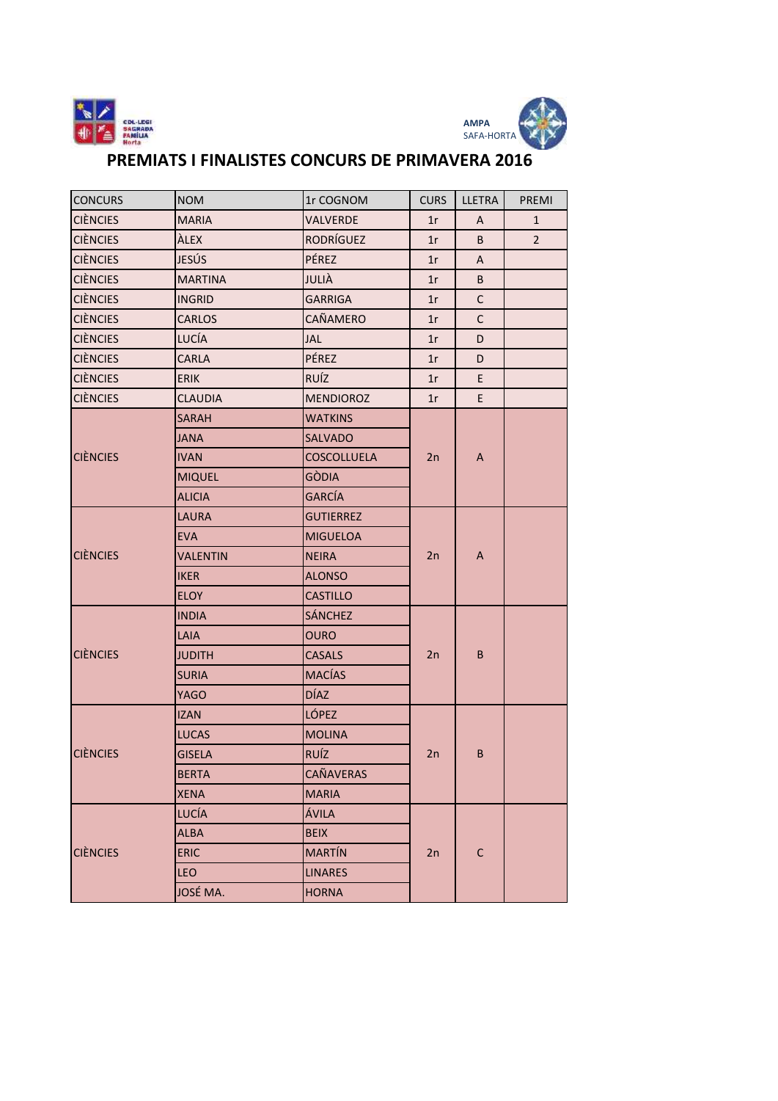



## PREMIATS I FINALISTES CONCURS DE PRIMAVERA 2016

| <b>CONCURS</b>  | <b>NOM</b>      | 1r COGNOM          | <b>CURS</b> | LLETRA       | PREMI          |
|-----------------|-----------------|--------------------|-------------|--------------|----------------|
| <b>CIÈNCIES</b> | <b>MARIA</b>    | <b>VALVERDE</b>    | 1r          | A            | $\mathbf{1}$   |
| <b>CIÈNCIES</b> | ÀLEX            | <b>RODRÍGUEZ</b>   | 1r          | B            | $\overline{2}$ |
| <b>CIÈNCIES</b> | JESÚS           | PÉREZ              | 1r          | A            |                |
| <b>CIÈNCIES</b> | <b>MARTINA</b>  | JULIÀ              | 1r          | B            |                |
| <b>CIÈNCIES</b> | <b>INGRID</b>   | <b>GARRIGA</b>     | 1r          | $\mathsf{C}$ |                |
| <b>CIÈNCIES</b> | CARLOS          | CAÑAMERO           | 1r          | $\mathsf{C}$ |                |
| <b>CIÈNCIES</b> | LUCÍA           | JAL                | 1r          | D            |                |
| <b>CIÈNCIES</b> | <b>CARLA</b>    | PÉREZ              | 1r          | D            |                |
| <b>CIÈNCIES</b> | <b>ERIK</b>     | RUÍZ               | 1r          | E            |                |
| <b>CIÈNCIES</b> | <b>CLAUDIA</b>  | <b>MENDIOROZ</b>   | 1r          | E            |                |
|                 | <b>SARAH</b>    | <b>WATKINS</b>     |             |              |                |
|                 | <b>JANA</b>     | <b>SALVADO</b>     |             |              |                |
| <b>CIÈNCIES</b> | <b>IVAN</b>     | <b>COSCOLLUELA</b> | 2n          | A            |                |
|                 | <b>MIQUEL</b>   | <b>GÒDIA</b>       |             |              |                |
|                 | <b>ALICIA</b>   | GARCÍA             |             |              |                |
|                 | <b>LAURA</b>    | <b>GUTIERREZ</b>   | 2n          | A            |                |
|                 | <b>EVA</b>      | <b>MIGUELOA</b>    |             |              |                |
| <b>CIÈNCIES</b> | <b>VALENTIN</b> | <b>NEIRA</b>       |             |              |                |
|                 | <b>IKER</b>     | <b>ALONSO</b>      |             |              |                |
|                 | <b>ELOY</b>     | <b>CASTILLO</b>    |             |              |                |
|                 | <b>INDIA</b>    | <b>SÁNCHEZ</b>     |             | B            |                |
|                 | LAIA            | <b>OURO</b>        | 2n          |              |                |
| <b>CIÈNCIES</b> | <b>JUDITH</b>   | <b>CASALS</b>      |             |              |                |
|                 | <b>SURIA</b>    | <b>MACÍAS</b>      |             |              |                |
|                 | <b>YAGO</b>     | <b>DÍAZ</b>        |             |              |                |
|                 | <b>IZAN</b>     | <b>LÓPEZ</b>       |             |              |                |
|                 | <b>LUCAS</b>    | <b>MOLINA</b>      |             |              |                |
| <b>CIÈNCIES</b> | <b>GISELA</b>   | <b>RUÍZ</b>        | 2n          | B            |                |
|                 | <b>BERTA</b>    | CAÑAVERAS          |             |              |                |
|                 | <b>XENA</b>     | <b>MARIA</b>       |             |              |                |
|                 | <b>LUCÍA</b>    | ÁVILA              |             |              |                |
|                 | <b>ALBA</b>     | <b>BEIX</b>        |             |              |                |
| <b>CIÈNCIES</b> | <b>ERIC</b>     | <b>MARTÍN</b>      | 2n          | $\mathsf C$  |                |
|                 | LEO             | <b>LINARES</b>     |             |              |                |
|                 | JOSÉ MA.        | <b>HORNA</b>       |             |              |                |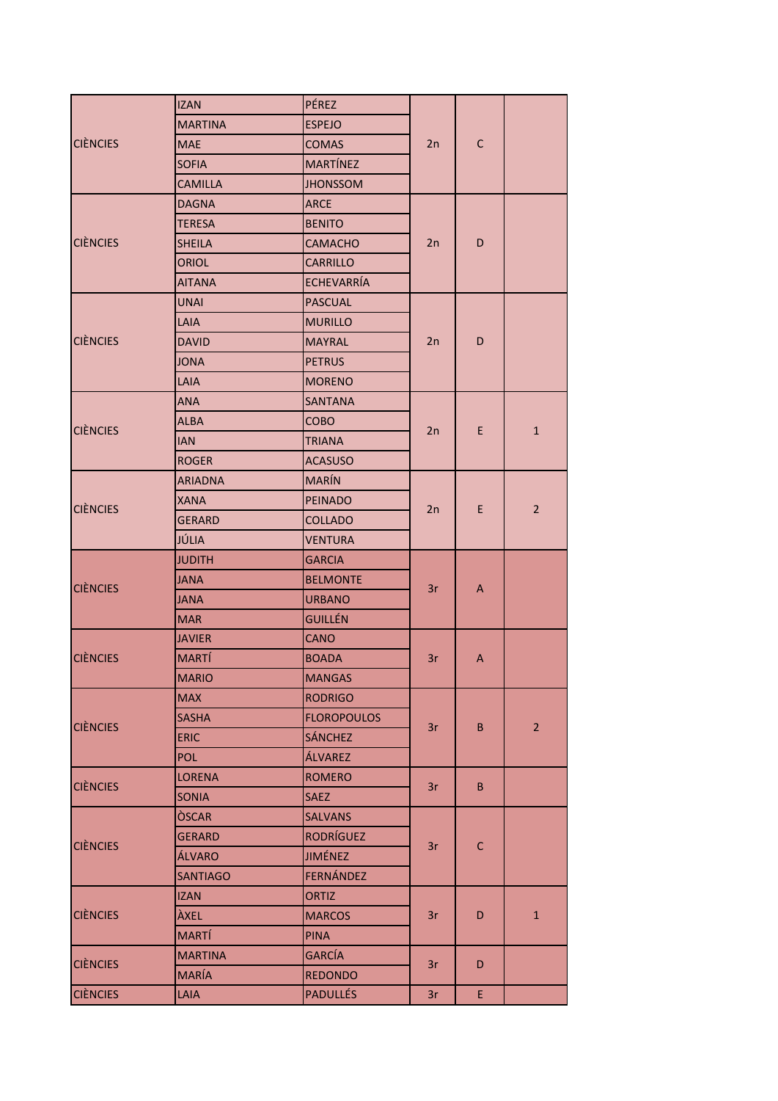|                 | <b>IZAN</b>     | PÉREZ              |    |              |                |
|-----------------|-----------------|--------------------|----|--------------|----------------|
| <b>CIÈNCIES</b> | <b>MARTINA</b>  | <b>ESPEJO</b>      |    | $\mathsf{C}$ |                |
|                 | <b>MAE</b>      | <b>COMAS</b>       | 2n |              |                |
|                 | <b>SOFIA</b>    | <b>MARTÍNEZ</b>    |    |              |                |
|                 | <b>CAMILLA</b>  | <b>JHONSSOM</b>    |    |              |                |
| <b>CIÈNCIES</b> | <b>DAGNA</b>    | ARCE               |    | D            |                |
|                 | <b>TERESA</b>   | <b>BENITO</b>      |    |              |                |
|                 | <b>SHEILA</b>   | <b>CAMACHO</b>     | 2n |              |                |
|                 | <b>ORIOL</b>    | <b>CARRILLO</b>    |    |              |                |
|                 | <b>AITANA</b>   | <b>ECHEVARRÍA</b>  |    |              |                |
|                 | <b>UNAI</b>     | <b>PASCUAL</b>     |    |              |                |
|                 | LAIA            | <b>MURILLO</b>     |    |              |                |
| <b>CIÈNCIES</b> | <b>DAVID</b>    | <b>MAYRAL</b>      | 2n | D            |                |
|                 | <b>JONA</b>     | <b>PETRUS</b>      |    |              |                |
|                 | LAIA            | <b>MORENO</b>      |    |              |                |
|                 | <b>ANA</b>      | SANTANA            |    |              |                |
|                 | <b>ALBA</b>     | COBO               |    | E            |                |
| <b>CIÈNCIES</b> | <b>IAN</b>      | <b>TRIANA</b>      | 2n |              | $\mathbf{1}$   |
|                 | <b>ROGER</b>    | <b>ACASUSO</b>     |    |              |                |
|                 | <b>ARIADNA</b>  | <b>MARÍN</b>       |    | E            |                |
| <b>CIÈNCIES</b> | <b>XANA</b>     | <b>PEINADO</b>     |    |              |                |
|                 | <b>GERARD</b>   | <b>COLLADO</b>     | 2n |              | $\overline{2}$ |
|                 | JÚLIA           | <b>VENTURA</b>     |    |              |                |
|                 | <b>JUDITH</b>   | GARCIA             |    |              |                |
|                 | <b>JANA</b>     | <b>BELMONTE</b>    |    | A            |                |
| <b>CIÈNCIES</b> | <b>JANA</b>     | <b>URBANO</b>      | 3r |              |                |
|                 | <b>MAR</b>      | GUILLÉN            |    |              |                |
|                 | <b>JAVIER</b>   | CANO               |    | A            |                |
| <b>CIÈNCIES</b> | <b>MARTÍ</b>    | <b>BOADA</b>       | 3r |              |                |
|                 | <b>MARIO</b>    | <b>MANGAS</b>      |    |              |                |
|                 | <b>MAX</b>      | <b>RODRIGO</b>     |    |              |                |
|                 | <b>SASHA</b>    | <b>FLOROPOULOS</b> |    |              |                |
| <b>CIÈNCIES</b> | <b>ERIC</b>     | <b>SÁNCHEZ</b>     | 3r | B            | $\overline{2}$ |
|                 | <b>POL</b>      | ÁLVAREZ            |    |              |                |
|                 | <b>LORENA</b>   | <b>ROMERO</b>      |    |              |                |
| <b>CIÈNCIES</b> | <b>SONIA</b>    | <b>SAEZ</b>        | 3r | B            |                |
|                 | <b>OSCAR</b>    | <b>SALVANS</b>     |    |              |                |
|                 | <b>GERARD</b>   | <b>RODRÍGUEZ</b>   |    |              |                |
| <b>CIÈNCIES</b> | ÁLVARO          | JIMÉNEZ            | 3r | $\mathsf{C}$ |                |
|                 | <b>SANTIAGO</b> | FERNÁNDEZ          |    |              |                |
|                 | <b>IZAN</b>     | ORTIZ              |    |              |                |
| <b>CIÈNCIES</b> | ÀXEL            | <b>MARCOS</b>      | 3r | D            | $\mathbf 1$    |
|                 | <b>MARTÍ</b>    | <b>PINA</b>        |    |              |                |
|                 | <b>MARTINA</b>  | <b>GARCÍA</b>      |    |              |                |
| <b>CIÈNCIES</b> | <b>MARÍA</b>    | <b>REDONDO</b>     | 3r | D            |                |
| <b>CIÈNCIES</b> | LAIA            | <b>PADULLÉS</b>    | 3r | E.           |                |
|                 |                 |                    |    |              |                |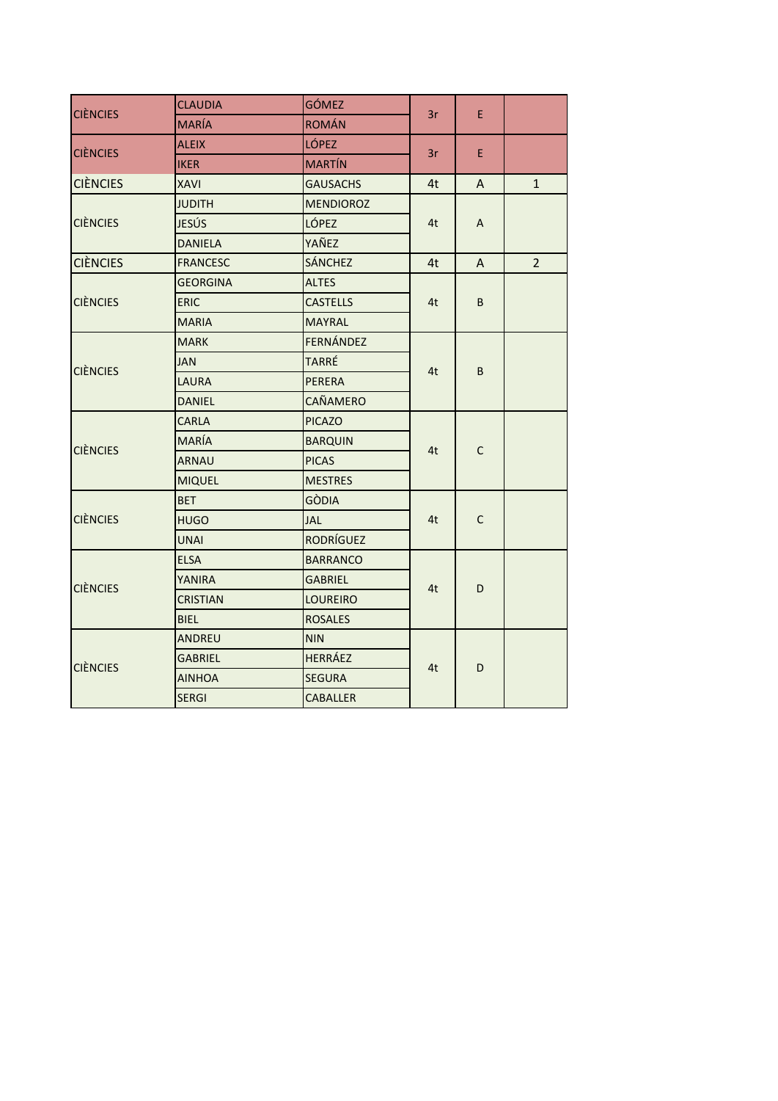| <b>CIÈNCIES</b> | <b>CLAUDIA</b>  | <b>GÓMEZ</b>     | 3r | E           |                |
|-----------------|-----------------|------------------|----|-------------|----------------|
|                 | <b>MARÍA</b>    | <b>ROMÁN</b>     |    |             |                |
| <b>CIÈNCIES</b> | <b>ALEIX</b>    | <b>LÓPEZ</b>     | 3r | E.          |                |
|                 | <b>IKER</b>     | <b>MARTÍN</b>    |    |             |                |
| <b>CIÈNCIES</b> | <b>XAVI</b>     | <b>GAUSACHS</b>  | 4t | A           | $\mathbf{1}$   |
| <b>CIÈNCIES</b> | <b>JUDITH</b>   | <b>MENDIOROZ</b> |    | A           |                |
|                 | <b>JESÚS</b>    | LÓPEZ            | 4t |             |                |
|                 | <b>DANIELA</b>  | YAÑEZ            |    |             |                |
| <b>CIÈNCIES</b> | <b>FRANCESC</b> | <b>SÁNCHEZ</b>   | 4t | A           | $\overline{2}$ |
|                 | <b>GEORGINA</b> | <b>ALTES</b>     |    |             |                |
| <b>CIÈNCIES</b> | <b>ERIC</b>     | <b>CASTELLS</b>  | 4t | B           |                |
|                 | <b>MARIA</b>    | <b>MAYRAL</b>    |    |             |                |
| <b>CIÈNCIES</b> | <b>MARK</b>     | FERNÁNDEZ        |    | B           |                |
|                 | <b>JAN</b>      | TARRÉ            | 4t |             |                |
|                 | <b>LAURA</b>    | <b>PERERA</b>    |    |             |                |
|                 | <b>DANIEL</b>   | CAÑAMERO         |    |             |                |
|                 | <b>CARLA</b>    | <b>PICAZO</b>    |    | $\mathsf C$ |                |
| <b>CIÈNCIES</b> | <b>MARÍA</b>    | <b>BARQUIN</b>   | 4t |             |                |
|                 | <b>ARNAU</b>    | <b>PICAS</b>     |    |             |                |
|                 | <b>MIQUEL</b>   | <b>MESTRES</b>   |    |             |                |
|                 | <b>BET</b>      | <b>GÒDIA</b>     |    | $\mathsf C$ |                |
| <b>CIÈNCIES</b> | <b>HUGO</b>     | JAL              | 4t |             |                |
|                 | <b>UNAI</b>     | <b>RODRÍGUEZ</b> |    |             |                |
|                 | <b>ELSA</b>     | <b>BARRANCO</b>  |    |             |                |
| <b>CIÈNCIES</b> | YANIRA          | <b>GABRIEL</b>   | 4t | D           |                |
|                 | <b>CRISTIAN</b> | <b>LOUREIRO</b>  |    |             |                |
|                 | <b>BIEL</b>     | <b>ROSALES</b>   |    |             |                |
|                 | ANDREU          | <b>NIN</b>       |    |             |                |
| <b>CIÈNCIES</b> | <b>GABRIEL</b>  | <b>HERRÁEZ</b>   | 4t | D           |                |
|                 | <b>AINHOA</b>   | <b>SEGURA</b>    |    |             |                |
|                 | <b>SERGI</b>    | <b>CABALLER</b>  |    |             |                |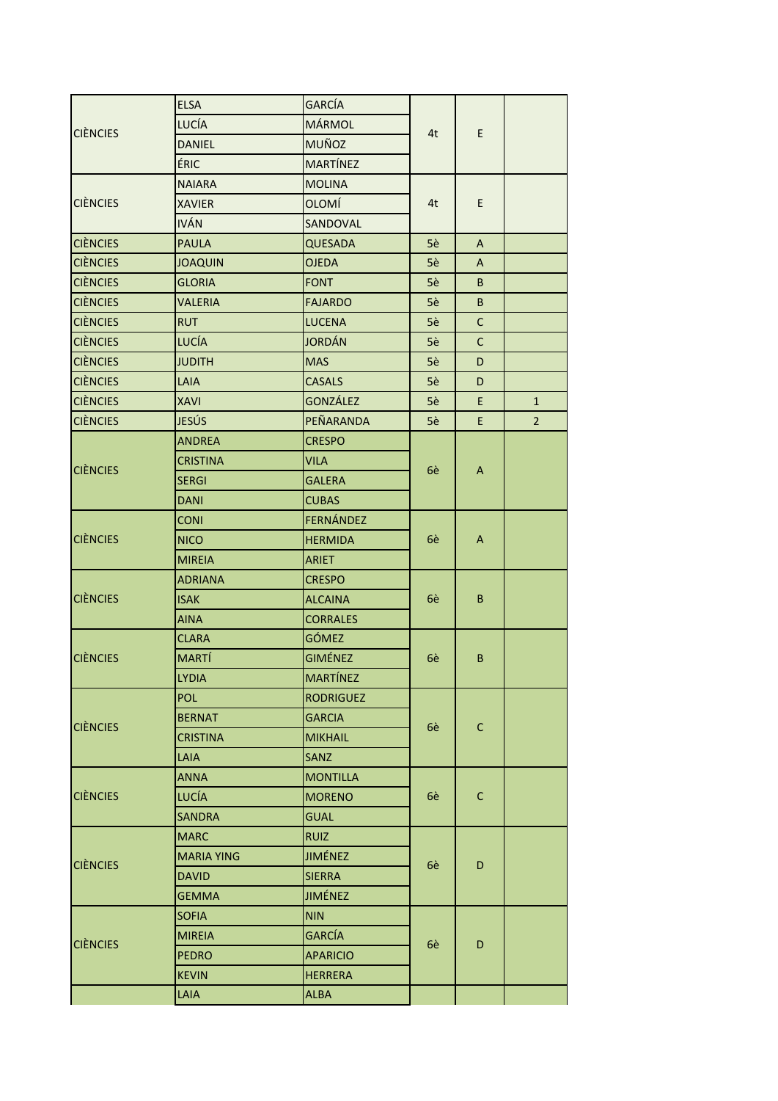|                 | <b>ELSA</b>       | <b>GARCÍA</b>    |    |              |                |
|-----------------|-------------------|------------------|----|--------------|----------------|
| <b>CIÈNCIES</b> | <b>LUCÍA</b>      | <b>MÁRMOL</b>    |    | E            |                |
|                 | <b>DANIEL</b>     | <b>MUÑOZ</b>     | 4t |              |                |
|                 | ÉRIC              | <b>MARTÍNEZ</b>  |    |              |                |
| <b>CIÈNCIES</b> | <b>NAIARA</b>     | <b>MOLINA</b>    |    |              |                |
|                 | <b>XAVIER</b>     | <b>OLOMÍ</b>     | 4t | E            |                |
|                 | <b>IVÁN</b>       | SANDOVAL         |    |              |                |
| <b>CIÈNCIES</b> | <b>PAULA</b>      | <b>QUESADA</b>   | 5è | A            |                |
| <b>CIÈNCIES</b> | <b>JOAQUIN</b>    | <b>OJEDA</b>     | 5è | A            |                |
| <b>CIÈNCIES</b> | <b>GLORIA</b>     | <b>FONT</b>      | 5è | B            |                |
| <b>CIÈNCIES</b> | <b>VALERIA</b>    | <b>FAJARDO</b>   | 5è | B            |                |
| <b>CIÈNCIES</b> | <b>RUT</b>        | <b>LUCENA</b>    | 5è | C            |                |
| <b>CIÈNCIES</b> | <b>LUCÍA</b>      | <b>JORDÁN</b>    | 5è | $\mathsf{C}$ |                |
| <b>CIÈNCIES</b> | <b>JUDITH</b>     | <b>MAS</b>       | 5è | D            |                |
| <b>CIÈNCIES</b> | LAIA              | <b>CASALS</b>    | 5è | D            |                |
| <b>CIÈNCIES</b> | <b>XAVI</b>       | <b>GONZÁLEZ</b>  | 5è | E            | $\mathbf{1}$   |
| <b>CIÈNCIES</b> | JESÚS             | PEÑARANDA        | 5è | E            | $\overline{2}$ |
|                 | <b>ANDREA</b>     | <b>CRESPO</b>    |    |              |                |
|                 | <b>CRISTINA</b>   | <b>VILA</b>      |    | A            |                |
| <b>CIÈNCIES</b> | <b>SERGI</b>      | <b>GALERA</b>    | 6è |              |                |
|                 | <b>DANI</b>       | <b>CUBAS</b>     |    |              |                |
|                 | <b>CONI</b>       | FERNÁNDEZ        |    | A            |                |
| <b>CIÈNCIES</b> | <b>NICO</b>       | <b>HERMIDA</b>   | 6è |              |                |
|                 | <b>MIREIA</b>     | <b>ARIET</b>     |    |              |                |
|                 | <b>ADRIANA</b>    | <b>CRESPO</b>    |    | B            |                |
| <b>CIÈNCIES</b> | <b>ISAK</b>       | <b>ALCAINA</b>   | 6è |              |                |
|                 | <b>AINA</b>       | <b>CORRALES</b>  |    |              |                |
|                 | <b>CLARA</b>      | GÓMEZ            |    | B            |                |
| <b>CIÈNCIES</b> | <b>MARTÍ</b>      | <b>GIMÉNEZ</b>   | 6è |              |                |
|                 | <b>LYDIA</b>      | <b>MARTÍNEZ</b>  |    |              |                |
|                 | <b>POL</b>        | <b>RODRIGUEZ</b> |    |              |                |
| <b>CIÈNCIES</b> | <b>BERNAT</b>     | <b>GARCIA</b>    | 6è |              |                |
|                 | <b>CRISTINA</b>   | <b>MIKHAIL</b>   |    | $\mathsf{C}$ |                |
|                 | LAIA              | <b>SANZ</b>      |    |              |                |
|                 | <b>ANNA</b>       | <b>MONTILLA</b>  |    |              |                |
| <b>CIÈNCIES</b> | LUCÍA             | <b>MORENO</b>    | 6è | $\mathsf{C}$ |                |
|                 | <b>SANDRA</b>     | <b>GUAL</b>      |    |              |                |
|                 | <b>MARC</b>       | <b>RUIZ</b>      |    |              |                |
| <b>CIÈNCIES</b> | <b>MARIA YING</b> | <b>JIMÉNEZ</b>   | 6è | D            |                |
|                 | <b>DAVID</b>      | <b>SIERRA</b>    |    |              |                |
|                 | <b>GEMMA</b>      | <b>JIMÉNEZ</b>   |    |              |                |
|                 | <b>SOFIA</b>      | <b>NIN</b>       |    |              |                |
| <b>CIÈNCIES</b> | <b>MIREIA</b>     | <b>GARCÍA</b>    | 6è | D            |                |
|                 | <b>PEDRO</b>      | <b>APARICIO</b>  |    |              |                |
|                 | <b>KEVIN</b>      | HERRERA          |    |              |                |
|                 | LAIA              | <b>ALBA</b>      |    |              |                |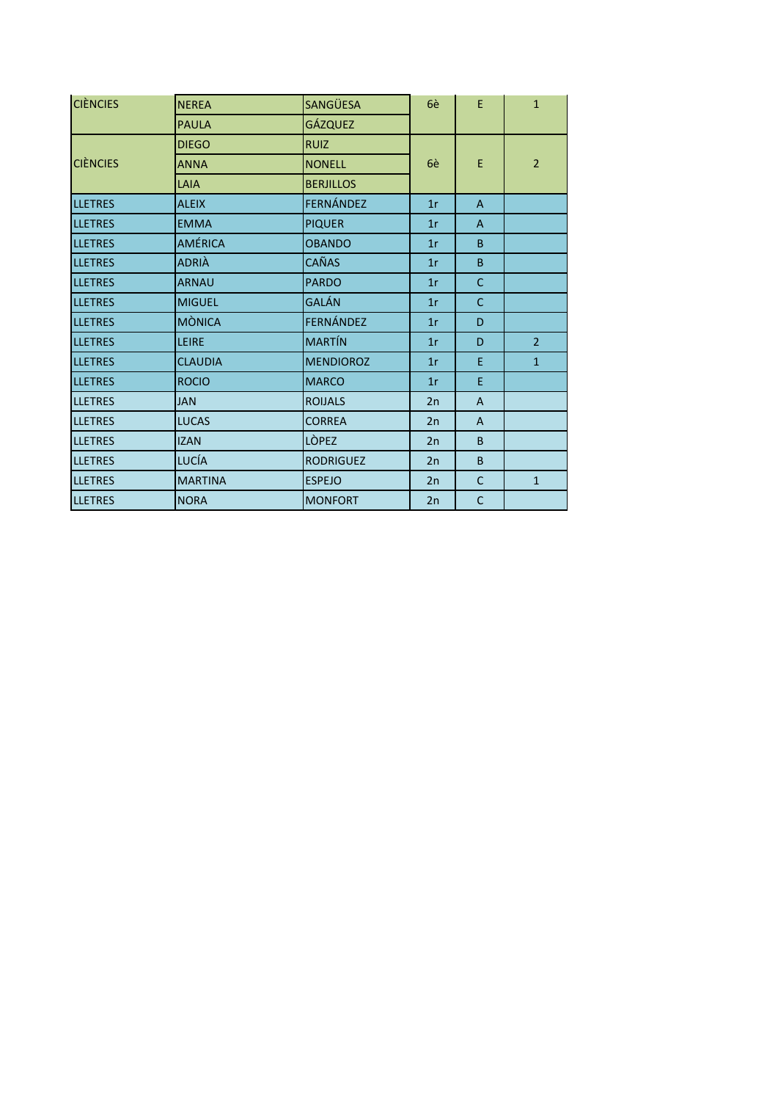| <b>CIÈNCIES</b> | <b>NEREA</b>   | SANGÜESA         | 6è | E              | $\mathbf{1}$   |
|-----------------|----------------|------------------|----|----------------|----------------|
|                 | <b>PAULA</b>   | <b>GÁZQUEZ</b>   |    |                |                |
|                 | <b>DIEGO</b>   | <b>RUIZ</b>      |    |                |                |
| <b>CIÈNCIES</b> | <b>ANNA</b>    | <b>NONELL</b>    | 6è | E              | $\overline{2}$ |
|                 | LAIA           | <b>BERJILLOS</b> |    |                |                |
| <b>LLETRES</b>  | <b>ALEIX</b>   | FERNÁNDEZ        | 1r | $\overline{A}$ |                |
| <b>LLETRES</b>  | <b>EMMA</b>    | <b>PIQUER</b>    | 1r | $\mathsf{A}$   |                |
| <b>LLETRES</b>  | <b>AMÉRICA</b> | <b>OBANDO</b>    | 1r | B              |                |
| <b>LLETRES</b>  | ADRIÀ          | CAÑAS            | 1r | B              |                |
| <b>LLETRES</b>  | <b>ARNAU</b>   | <b>PARDO</b>     | 1r | $\mathsf{C}$   |                |
| <b>LLETRES</b>  | <b>MIGUEL</b>  | GALÁN            | 1r | C              |                |
| <b>LLETRES</b>  | <b>MÒNICA</b>  | FERNÁNDEZ        | 1r | D              |                |
| <b>LLETRES</b>  | LEIRE          | <b>MARTÍN</b>    | 1r | D              | $\overline{2}$ |
| <b>LLETRES</b>  | <b>CLAUDIA</b> | <b>MENDIOROZ</b> | 1r | E              | $\mathbf{1}$   |
| <b>LLETRES</b>  | <b>ROCIO</b>   | <b>MARCO</b>     | 1r | E              |                |
| <b>LLETRES</b>  | <b>JAN</b>     | <b>ROIJALS</b>   | 2n | $\overline{A}$ |                |
| <b>LLETRES</b>  | <b>LUCAS</b>   | <b>CORREA</b>    | 2n | A              |                |
| <b>LLETRES</b>  | <b>IZAN</b>    | <b>LÒPEZ</b>     | 2n | B              |                |
| <b>LLETRES</b>  | LUCÍA          | <b>RODRIGUEZ</b> | 2n | B              |                |
| <b>LLETRES</b>  | <b>MARTINA</b> | <b>ESPEJO</b>    | 2n | C              | $\mathbf{1}$   |
| <b>LLETRES</b>  | <b>NORA</b>    | <b>MONFORT</b>   | 2n | $\mathsf C$    |                |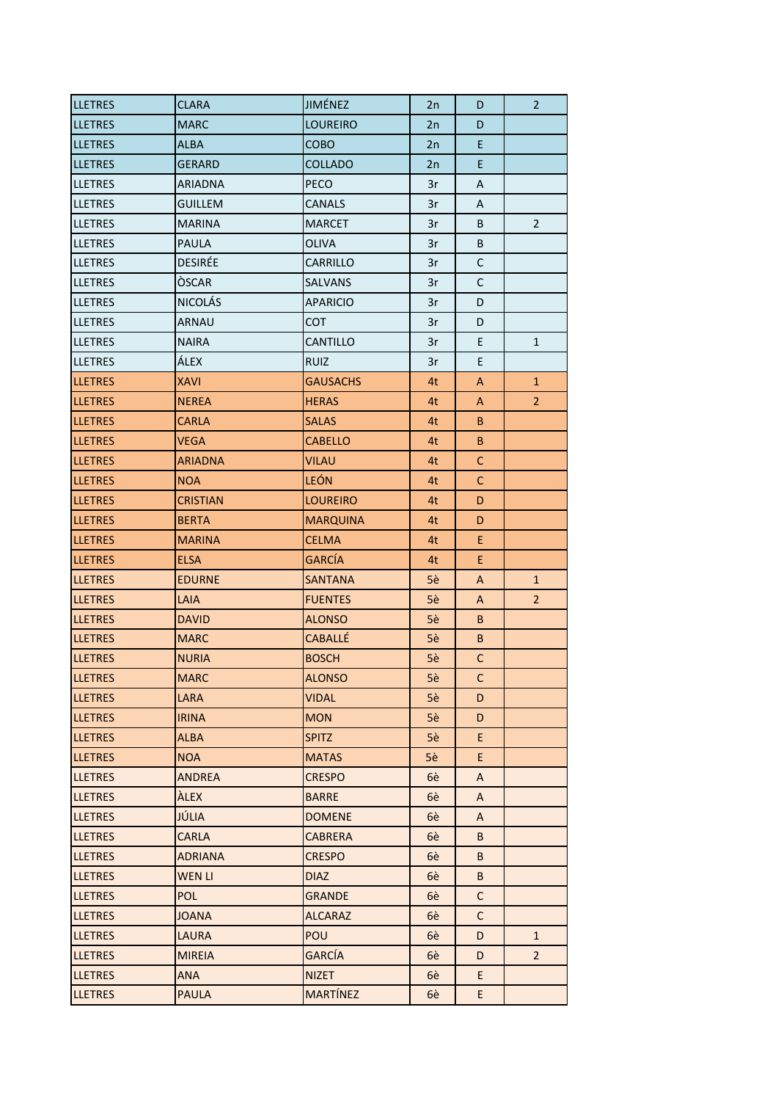| <b>LLETRES</b>  | <b>CLARA</b>    | <b>JIMÉNEZ</b>  | 2n | D            | 2              |
|-----------------|-----------------|-----------------|----|--------------|----------------|
| <b>LLETRES</b>  | <b>MARC</b>     | <b>LOUREIRO</b> | 2n | D            |                |
| <b>LLETRES</b>  | <b>ALBA</b>     | COBO            | 2n | E            |                |
| <b>LLETRES</b>  | <b>GERARD</b>   | <b>COLLADO</b>  | 2n | E            |                |
| <b>LLETRES</b>  | <b>ARIADNA</b>  | PECO            | 3r | Α            |                |
| <b>LLETRES</b>  | <b>GUILLEM</b>  | CANALS          | 3r | A            |                |
| <b>LLETRES</b>  | <b>MARINA</b>   | <b>MARCET</b>   | 3r | B            | $\overline{2}$ |
| <b>LLETRES</b>  | <b>PAULA</b>    | OLIVA           | 3r | B            |                |
| <b>LLETRES</b>  | <b>DESIRÉE</b>  | <b>CARRILLO</b> | 3r | $\mathsf{C}$ |                |
| <b>ILLETRES</b> | <b>OSCAR</b>    | <b>SALVANS</b>  | 3r | $\mathsf{C}$ |                |
| <b>LLETRES</b>  | <b>NICOLÁS</b>  | <b>APARICIO</b> | 3r | D            |                |
| <b>LLETRES</b>  | <b>ARNAU</b>    | <b>COT</b>      | 3r | D            |                |
| <b>LLETRES</b>  | <b>NAIRA</b>    | CANTILLO        | 3r | E            | $\mathbf{1}$   |
| <b>LLETRES</b>  | ÁLEX            | <b>RUIZ</b>     | 3r | E.           |                |
| <b>LLETRES</b>  | <b>XAVI</b>     | <b>GAUSACHS</b> | 4t | A            | $\mathbf{1}$   |
| <b>LLETRES</b>  | <b>NEREA</b>    | <b>HERAS</b>    | 4t | A            | $\overline{2}$ |
| <b>LLETRES</b>  | <b>CARLA</b>    | <b>SALAS</b>    | 4t | B            |                |
| <b>LLETRES</b>  | VEGA            | <b>CABELLO</b>  | 4t | B            |                |
| <b>LLETRES</b>  | <b>ARIADNA</b>  | <b>VILAU</b>    | 4t | C            |                |
| <b>LLETRES</b>  | <b>NOA</b>      | <b>LEÓN</b>     | 4t | C            |                |
| <b>LLETRES</b>  | <b>CRISTIAN</b> | <b>LOUREIRO</b> | 4t | D            |                |
| <b>LLETRES</b>  | <b>BERTA</b>    | <b>MARQUINA</b> | 4t | D            |                |
| <b>LLETRES</b>  | <b>MARINA</b>   | <b>CELMA</b>    | 4t | E            |                |
| <b>LLETRES</b>  | <b>ELSA</b>     | <b>GARCÍA</b>   | 4t | E            |                |
|                 |                 |                 |    |              |                |
| <b>LLETRES</b>  | <b>EDURNE</b>   | <b>SANTANA</b>  | 5è | A            | $\mathbf{1}$   |
| <b>LLETRES</b>  | LAIA            | <b>FUENTES</b>  | 5è | A            | $\overline{2}$ |
| <b>LLETRES</b>  | <b>DAVID</b>    | <b>ALONSO</b>   | 5è | B.           |                |
| <b>LLETRES</b>  | <b>MARC</b>     | <b>CABALLÉ</b>  | 5è | B            |                |
| <b>LLETRES</b>  | <b>NURIA</b>    | <b>BOSCH</b>    | 5è | $\mathsf{C}$ |                |
| <b>LLETRES</b>  | <b>MARC</b>     | <b>ALONSO</b>   | 5è | C.           |                |
| <b>LLETRES</b>  | LARA            | <b>VIDAL</b>    | 5è | D            |                |
| <b>LLETRES</b>  | <b>IRINA</b>    | <b>MON</b>      | 5è | D            |                |
| <b>LLETRES</b>  | <b>ALBA</b>     | <b>SPITZ</b>    | 5è | E.           |                |
| <b>LLETRES</b>  | <b>NOA</b>      | <b>MATAS</b>    | 5è | E.           |                |
| <b>LLETRES</b>  | <b>ANDREA</b>   | <b>CRESPO</b>   | 6è | A            |                |
| <b>LLETRES</b>  | <b>ALEX</b>     | <b>BARRE</b>    | 6è | A            |                |
| <b>LLETRES</b>  | JÚLIA           | <b>DOMENE</b>   | 6è | A            |                |
| <b>LLETRES</b>  | <b>CARLA</b>    | <b>CABRERA</b>  | 6è | B            |                |
| <b>LLETRES</b>  | <b>ADRIANA</b>  | <b>CRESPO</b>   | 6è | B            |                |
| <b>LLETRES</b>  | <b>WEN LI</b>   | <b>DIAZ</b>     | 6è | B            |                |
| <b>LLETRES</b>  | <b>POL</b>      | <b>GRANDE</b>   | 6è | C            |                |
| <b>LLETRES</b>  | <b>JOANA</b>    | <b>ALCARAZ</b>  | 6è | $\mathsf{C}$ |                |
| <b>LLETRES</b>  | <b>LAURA</b>    | <b>POU</b>      | 6è | D            | $\mathbf{1}$   |
| <b>LLETRES</b>  | <b>MIREIA</b>   | <b>GARCÍA</b>   | 6è | D            | $\overline{2}$ |
| <b>LLETRES</b>  | ANA             | <b>NIZET</b>    | 6è | E.           |                |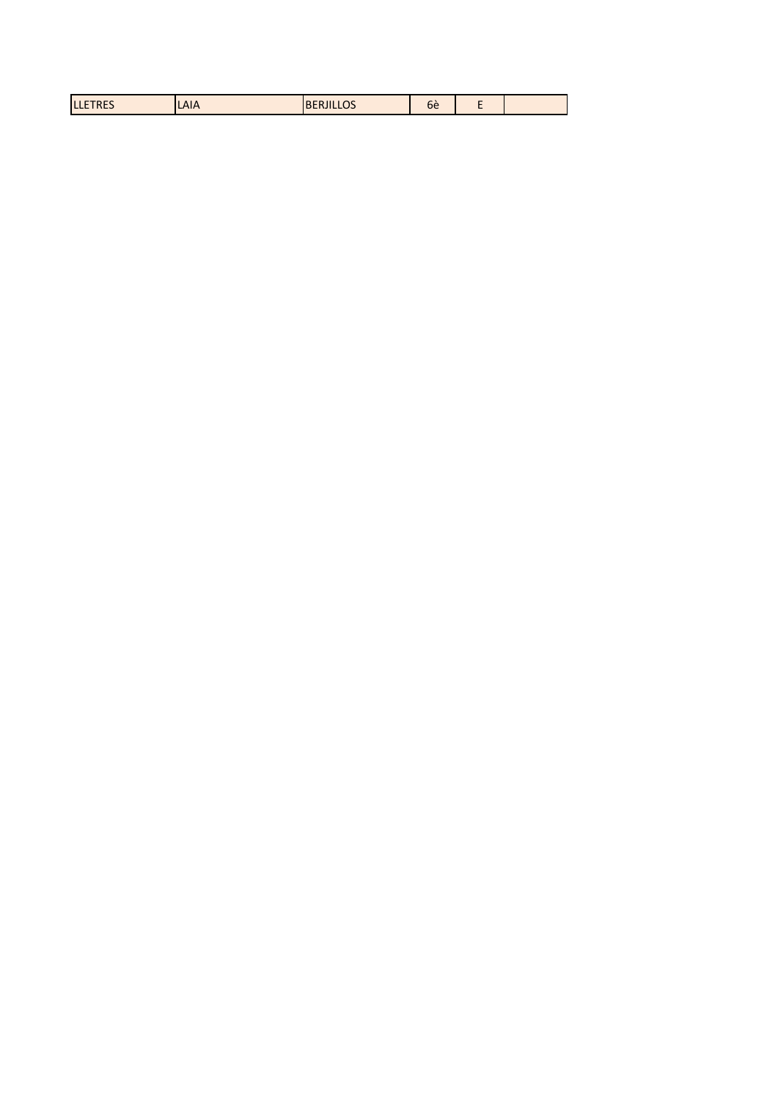| $   -$<br>--<br>LAIA<br>be<br>LLEIRES<br>◡<br>,,,,,,, |
|-------------------------------------------------------|
|-------------------------------------------------------|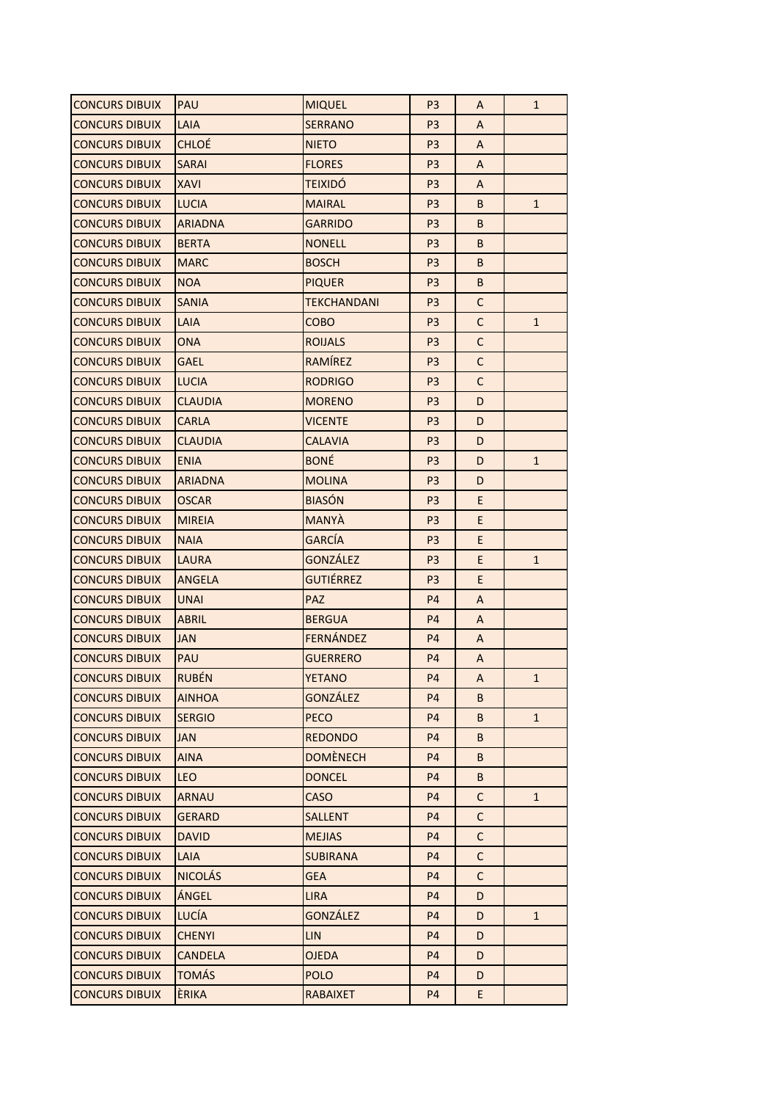| <b>CONCURS DIBUIX</b> | PAU            | <b>MIQUEL</b>      | P <sub>3</sub> | A            | $\mathbf{1}$ |
|-----------------------|----------------|--------------------|----------------|--------------|--------------|
| <b>CONCURS DIBUIX</b> | LAIA           | <b>SERRANO</b>     | P <sub>3</sub> | A            |              |
| <b>CONCURS DIBUIX</b> | <b>CHLOE</b>   | <b>NIETO</b>       | P <sub>3</sub> | A            |              |
| <b>CONCURS DIBUIX</b> | SARAI          | <b>FLORES</b>      | P <sub>3</sub> | A            |              |
| <b>CONCURS DIBUIX</b> | XAVI           | <b>TEIXIDÓ</b>     | P <sub>3</sub> | A            |              |
| <b>CONCURS DIBUIX</b> | <b>LUCIA</b>   | <b>MAIRAL</b>      | P <sub>3</sub> | B            | $\mathbf{1}$ |
| <b>CONCURS DIBUIX</b> | <b>ARIADNA</b> | <b>GARRIDO</b>     | P <sub>3</sub> | B            |              |
| <b>CONCURS DIBUIX</b> | <b>BERTA</b>   | <b>NONELL</b>      | P <sub>3</sub> | B            |              |
| <b>CONCURS DIBUIX</b> | <b>MARC</b>    | <b>BOSCH</b>       | P <sub>3</sub> | B            |              |
| <b>CONCURS DIBUIX</b> | <b>NOA</b>     | <b>PIQUER</b>      | P <sub>3</sub> | B            |              |
| <b>CONCURS DIBUIX</b> | <b>SANIA</b>   | <b>TEKCHANDANI</b> | P <sub>3</sub> | C            |              |
| <b>CONCURS DIBUIX</b> | LAIA           | сово               | P <sub>3</sub> | $\mathsf C$  | $\mathbf{1}$ |
| <b>CONCURS DIBUIX</b> | <b>ONA</b>     | <b>ROIJALS</b>     | P <sub>3</sub> | $\mathsf C$  |              |
| <b>CONCURS DIBUIX</b> | GAEL           | RAMÍREZ            | P <sub>3</sub> | $\mathsf{C}$ |              |
| <b>CONCURS DIBUIX</b> | <b>LUCIA</b>   | <b>RODRIGO</b>     | P <sub>3</sub> | C            |              |
| <b>CONCURS DIBUIX</b> | CLAUDIA        | <b>MORENO</b>      | P <sub>3</sub> | D            |              |
| <b>CONCURS DIBUIX</b> | <b>CARLA</b>   | VICENTE            | P <sub>3</sub> | D            |              |
| <b>CONCURS DIBUIX</b> | CLAUDIA        | CALAVIA            | P <sub>3</sub> | D            |              |
| <b>CONCURS DIBUIX</b> | <b>ENIA</b>    | <b>BONÉ</b>        | P <sub>3</sub> | D            | $\mathbf{1}$ |
| <b>CONCURS DIBUIX</b> | <b>ARIADNA</b> | <b>MOLINA</b>      | P <sub>3</sub> | D            |              |
| <b>CONCURS DIBUIX</b> | <b>OSCAR</b>   | <b>BIASÓN</b>      | P <sub>3</sub> | E.           |              |
| <b>CONCURS DIBUIX</b> | <b>MIREIA</b>  | <b>MANYA</b>       | P <sub>3</sub> | E.           |              |
| <b>CONCURS DIBUIX</b> | <b>NAIA</b>    | <b>GARCIA</b>      | P <sub>3</sub> | E            |              |
| <b>CONCURS DIBUIX</b> | <b>LAURA</b>   | <b>GONZÁLEZ</b>    | P <sub>3</sub> | E.           | $\mathbf{1}$ |
| <b>CONCURS DIBUIX</b> | ANGELA         | <b>GUTIÉRREZ</b>   | P <sub>3</sub> | E.           |              |
| <b>CONCURS DIBUIX</b> | <b>UNAI</b>    | <b>PAZ</b>         | P <sub>4</sub> | A            |              |
| <b>CONCURS DIBUIX</b> | ABRIL          | <b>BERGUA</b>      | P <sub>4</sub> | A            |              |
| <b>CONCURS DIBUIX</b> | <b>JAN</b>     | FERNÁNDEZ          | P <sub>4</sub> | A            |              |
| <b>CONCURS DIBUIX</b> | PAU            | <b>GUERRERO</b>    | P <sub>4</sub> | A            |              |
| <b>CONCURS DIBUIX</b> | <b>RUBÉN</b>   | <b>YETANO</b>      | <b>P4</b>      | A            | 1            |
| <b>CONCURS DIBUIX</b> | <b>AINHOA</b>  | <b>GONZÁLEZ</b>    | P <sub>4</sub> | B            |              |
| <b>CONCURS DIBUIX</b> | <b>SERGIO</b>  | <b>PECO</b>        | P4             | B            | $\mathbf{1}$ |
| <b>CONCURS DIBUIX</b> | <b>JAN</b>     | <b>REDONDO</b>     | <b>P4</b>      | B            |              |
| <b>CONCURS DIBUIX</b> | <b>AINA</b>    | <b>DOMÈNECH</b>    | <b>P4</b>      | B            |              |
| <b>CONCURS DIBUIX</b> | <b>LEO</b>     | <b>DONCEL</b>      | <b>P4</b>      | B            |              |
| <b>CONCURS DIBUIX</b> | <b>ARNAU</b>   | <b>CASO</b>        | <b>P4</b>      | $\mathsf{C}$ | $1\,$        |
| <b>CONCURS DIBUIX</b> | <b>GERARD</b>  | <b>SALLENT</b>     | P <sub>4</sub> | $\mathsf{C}$ |              |
| <b>CONCURS DIBUIX</b> | <b>DAVID</b>   | <b>MEJIAS</b>      | <b>P4</b>      | $\mathsf{C}$ |              |
| <b>CONCURS DIBUIX</b> | LAIA           | SUBIRANA           | P <sub>4</sub> | C            |              |
| <b>CONCURS DIBUIX</b> | <b>NICOLÁS</b> | <b>GEA</b>         | <b>P4</b>      | $\mathsf C$  |              |
| <b>CONCURS DIBUIX</b> | ÁNGEL          | LIRA               | P4             | D            |              |
| <b>CONCURS DIBUIX</b> | <b>LUCÍA</b>   | <b>GONZÁLEZ</b>    | <b>P4</b>      | D            | $\mathbf{1}$ |
| <b>CONCURS DIBUIX</b> | <b>CHENYI</b>  | <b>LIN</b>         | P <sub>4</sub> | D            |              |
| <b>CONCURS DIBUIX</b> | <b>CANDELA</b> | OJEDA              | <b>P4</b>      | D            |              |
| <b>CONCURS DIBUIX</b> | <b>TOMÁS</b>   | <b>POLO</b>        | <b>P4</b>      | D            |              |
| <b>CONCURS DIBUIX</b> | ÈRIKA          | <b>RABAIXET</b>    | <b>P4</b>      | E            |              |
|                       |                |                    |                |              |              |